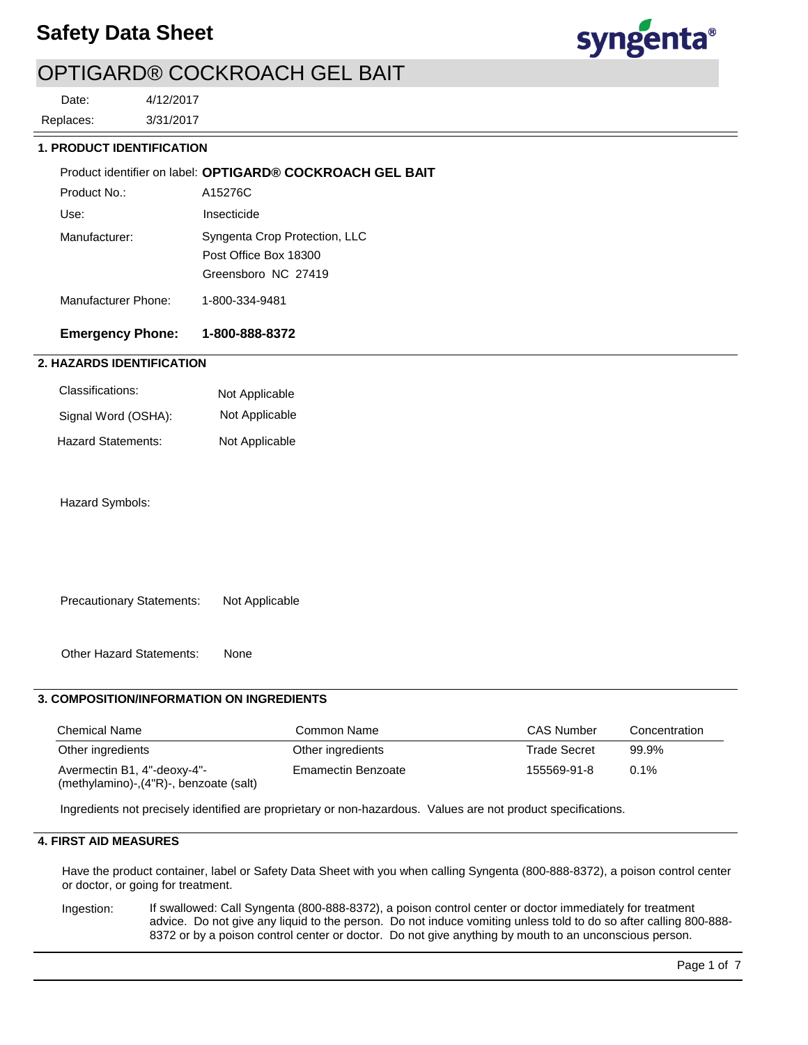

# OPTIGARD® COCKROACH GEL BAIT

3/31/2017 4/12/2017 Replaces: Date:

#### **1. PRODUCT IDENTIFICATION**

|                     | Product identifier on label: OPTIGARD® COCKROACH GEL BAIT |
|---------------------|-----------------------------------------------------------|
| Product No.:        | A15276C                                                   |
| Use:                | Insecticide                                               |
| Manufacturer:       | Syngenta Crop Protection, LLC                             |
|                     | Post Office Box 18300                                     |
|                     | Greensboro NC 27419                                       |
| Manufacturer Phone: | 1-800-334-9481                                            |

### **Emergency Phone: 1-800-888-8372**

### **2. HAZARDS IDENTIFICATION**

| Classifications:    | Not Applicable |
|---------------------|----------------|
| Signal Word (OSHA): | Not Applicable |
| Hazard Statements:  | Not Applicable |

Hazard Symbols:

Precautionary Statements: Not Applicable

Other Hazard Statements: None

### **3. COMPOSITION/INFORMATION ON INGREDIENTS**

| <b>Chemical Name</b>                                                  | Common Name        | <b>CAS Number</b>   | Concentration |
|-----------------------------------------------------------------------|--------------------|---------------------|---------------|
| Other ingredients                                                     | Other ingredients  | <b>Trade Secret</b> | 99.9%         |
| Avermectin B1, 4"-deoxy-4"-<br>(methylamino)-,(4"R)-, benzoate (salt) | Emamectin Benzoate | 155569-91-8         | 0.1%          |

Ingredients not precisely identified are proprietary or non-hazardous. Values are not product specifications.

## **4. FIRST AID MEASURES**

Have the product container, label or Safety Data Sheet with you when calling Syngenta (800-888-8372), a poison control center or doctor, or going for treatment.

If swallowed: Call Syngenta (800-888-8372), a poison control center or doctor immediately for treatment advice. Do not give any liquid to the person. Do not induce vomiting unless told to do so after calling 800-888- 8372 or by a poison control center or doctor. Do not give anything by mouth to an unconscious person. Ingestion: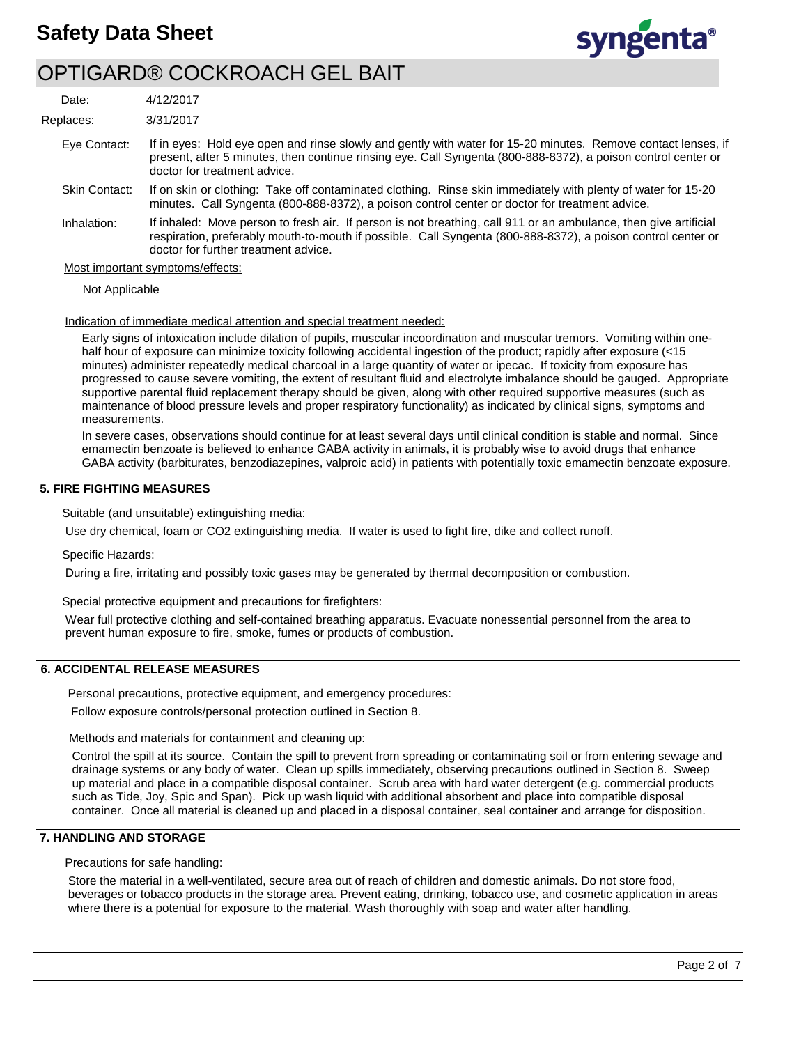

# OPTIGARD® COCKROACH GEL BAIT

| Date:                | 4/12/2017                                                                                                                                                                                                                                                                |
|----------------------|--------------------------------------------------------------------------------------------------------------------------------------------------------------------------------------------------------------------------------------------------------------------------|
| Replaces:            | 3/31/2017                                                                                                                                                                                                                                                                |
| Eye Contact:         | If in eyes: Hold eye open and rinse slowly and gently with water for 15-20 minutes. Remove contact lenses, if<br>present, after 5 minutes, then continue rinsing eye. Call Syngenta (800-888-8372), a poison control center or<br>doctor for treatment advice.           |
| <b>Skin Contact:</b> | If on skin or clothing: Take off contaminated clothing. Rinse skin immediately with plenty of water for 15-20<br>minutes. Call Syngenta (800-888-8372), a poison control center or doctor for treatment advice.                                                          |
| Inhalation:          | If inhaled: Move person to fresh air. If person is not breathing, call 911 or an ambulance, then give artificial<br>respiration, preferably mouth-to-mouth if possible. Call Syngenta (800-888-8372), a poison control center or<br>doctor for further treatment advice. |
|                      | Most important symptoms/effects:                                                                                                                                                                                                                                         |

Not Applicable

#### Indication of immediate medical attention and special treatment needed:

Early signs of intoxication include dilation of pupils, muscular incoordination and muscular tremors. Vomiting within onehalf hour of exposure can minimize toxicity following accidental ingestion of the product; rapidly after exposure (<15 minutes) administer repeatedly medical charcoal in a large quantity of water or ipecac. If toxicity from exposure has progressed to cause severe vomiting, the extent of resultant fluid and electrolyte imbalance should be gauged. Appropriate supportive parental fluid replacement therapy should be given, along with other required supportive measures (such as maintenance of blood pressure levels and proper respiratory functionality) as indicated by clinical signs, symptoms and measurements.

In severe cases, observations should continue for at least several days until clinical condition is stable and normal. Since emamectin benzoate is believed to enhance GABA activity in animals, it is probably wise to avoid drugs that enhance GABA activity (barbiturates, benzodiazepines, valproic acid) in patients with potentially toxic emamectin benzoate exposure.

### **5. FIRE FIGHTING MEASURES**

Suitable (and unsuitable) extinguishing media:

Use dry chemical, foam or CO2 extinguishing media. If water is used to fight fire, dike and collect runoff.

#### Specific Hazards:

During a fire, irritating and possibly toxic gases may be generated by thermal decomposition or combustion.

Special protective equipment and precautions for firefighters:

Wear full protective clothing and self-contained breathing apparatus. Evacuate nonessential personnel from the area to prevent human exposure to fire, smoke, fumes or products of combustion.

### **6. ACCIDENTAL RELEASE MEASURES**

Personal precautions, protective equipment, and emergency procedures:

Follow exposure controls/personal protection outlined in Section 8.

Methods and materials for containment and cleaning up:

Control the spill at its source. Contain the spill to prevent from spreading or contaminating soil or from entering sewage and drainage systems or any body of water. Clean up spills immediately, observing precautions outlined in Section 8. Sweep up material and place in a compatible disposal container. Scrub area with hard water detergent (e.g. commercial products such as Tide, Joy, Spic and Span). Pick up wash liquid with additional absorbent and place into compatible disposal container. Once all material is cleaned up and placed in a disposal container, seal container and arrange for disposition.

### **7. HANDLING AND STORAGE**

Precautions for safe handling:

Store the material in a well-ventilated, secure area out of reach of children and domestic animals. Do not store food, beverages or tobacco products in the storage area. Prevent eating, drinking, tobacco use, and cosmetic application in areas where there is a potential for exposure to the material. Wash thoroughly with soap and water after handling.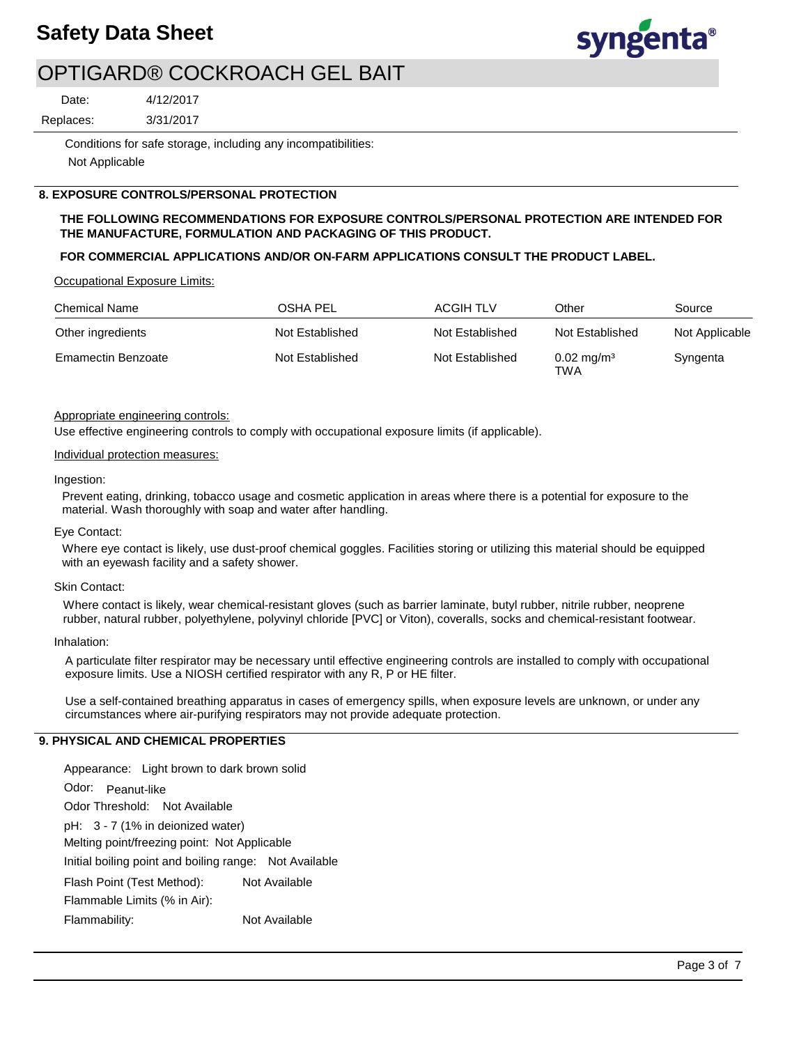

# OPTIGARD® COCKROACH GEL BAIT

Date:

3/31/2017 Replaces:

> Conditions for safe storage, including any incompatibilities: Not Applicable

### **8. EXPOSURE CONTROLS/PERSONAL PROTECTION**

4/12/2017

### **THE FOLLOWING RECOMMENDATIONS FOR EXPOSURE CONTROLS/PERSONAL PROTECTION ARE INTENDED FOR THE MANUFACTURE, FORMULATION AND PACKAGING OF THIS PRODUCT.**

### **FOR COMMERCIAL APPLICATIONS AND/OR ON-FARM APPLICATIONS CONSULT THE PRODUCT LABEL.**

Occupational Exposure Limits:

| <b>Chemical Name</b>      | OSHA PEL        | ACGIH TLV       | Other                        | Source         |
|---------------------------|-----------------|-----------------|------------------------------|----------------|
| Other ingredients         | Not Established | Not Established | Not Established              | Not Applicable |
| <b>Emamectin Benzoate</b> | Not Established | Not Established | $0.02 \text{ mg/m}^3$<br>TWA | Syngenta       |

#### Appropriate engineering controls:

Use effective engineering controls to comply with occupational exposure limits (if applicable).

#### Individual protection measures:

#### Ingestion:

Prevent eating, drinking, tobacco usage and cosmetic application in areas where there is a potential for exposure to the material. Wash thoroughly with soap and water after handling.

#### Eye Contact:

Where eye contact is likely, use dust-proof chemical goggles. Facilities storing or utilizing this material should be equipped with an eyewash facility and a safety shower.

#### Skin Contact:

Where contact is likely, wear chemical-resistant gloves (such as barrier laminate, butyl rubber, nitrile rubber, neoprene rubber, natural rubber, polyethylene, polyvinyl chloride [PVC] or Viton), coveralls, socks and chemical-resistant footwear.

#### Inhalation:

A particulate filter respirator may be necessary until effective engineering controls are installed to comply with occupational exposure limits. Use a NIOSH certified respirator with any R, P or HE filter.

Use a self-contained breathing apparatus in cases of emergency spills, when exposure levels are unknown, or under any circumstances where air-purifying respirators may not provide adequate protection.

### **9. PHYSICAL AND CHEMICAL PROPERTIES**

Odor: Peanut-like Appearance: Light brown to dark brown solid pH: 3 - 7 (1% in deionized water) Initial boiling point and boiling range: Not Available Melting point/freezing point: Not Applicable Odor Threshold: Not Available Flammability: Not Available Flash Point (Test Method): Not Available Flammable Limits (% in Air):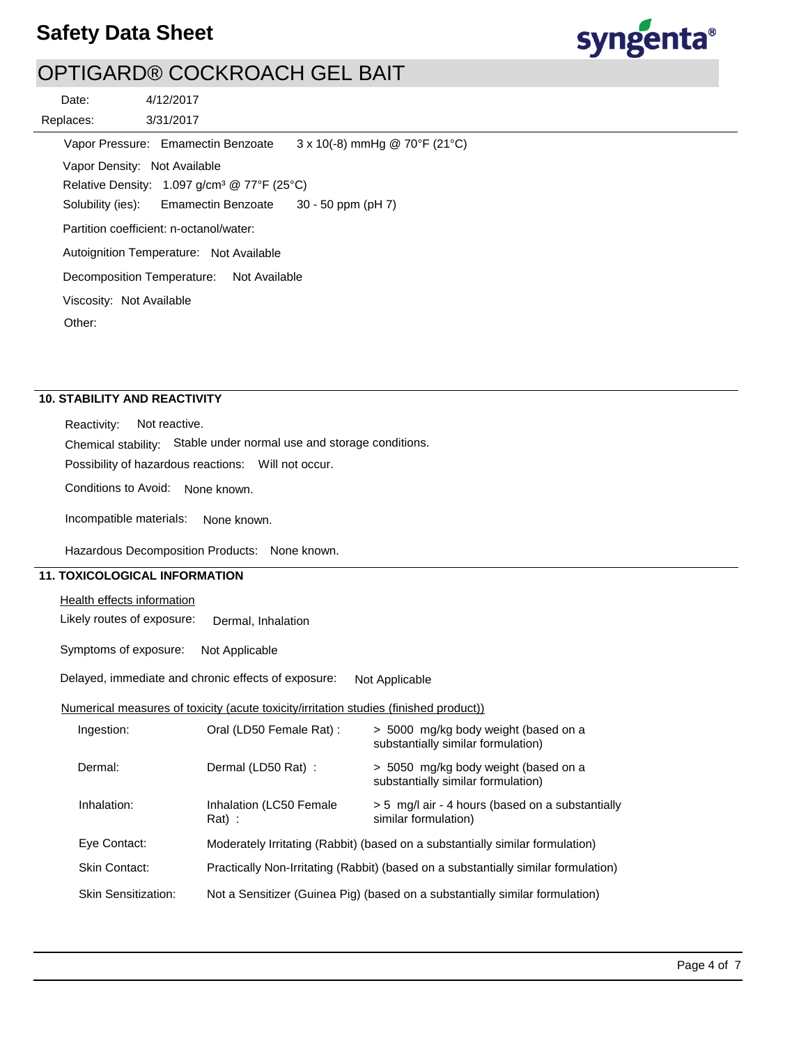

# OPTIGARD® COCKROACH GEL BAIT

3/31/2017 4/12/2017 Replaces: Date: Vapor Pressure: Emamectin Benzoate Solubility (ies): Autoignition Temperature: Not Available Vapor Density: Not Available Relative Density: 1.097 g/cm³ @ 77°F (25°C) Decomposition Temperature: Not Available Viscosity: Not Available Partition coefficient: n-octanol/water: Other:  $3 \times 10(-8)$  mmHg @ 70°F (21°C) Emamectin Benzoate 30 - 50 ppm (pH 7)

# **10. STABILITY AND REACTIVITY**

Reactivity: Not reactive.

Chemical stability: Stable under normal use and storage conditions.

Possibility of hazardous reactions: Will not occur.

Conditions to Avoid: None known.

Incompatible materials: None known.

Hazardous Decomposition Products: None known.

### **11. TOXICOLOGICAL INFORMATION**

Health effects information

Likely routes of exposure: Dermal, Inhalation

Symptoms of exposure: Not Applicable

Delayed, immediate and chronic effects of exposure: Not Applicable

### Numerical measures of toxicity (acute toxicity/irritation studies (finished product))

| Ingestion:                 | Oral (LD50 Female Rat) :            | > 5000 mg/kg body weight (based on a<br>substantially similar formulation)         |
|----------------------------|-------------------------------------|------------------------------------------------------------------------------------|
| Dermal:                    | Dermal (LD50 Rat) :                 | > 5050 mg/kg body weight (based on a<br>substantially similar formulation)         |
| Inhalation:                | Inhalation (LC50 Female<br>$Rat)$ : | > 5 mg/l air - 4 hours (based on a substantially<br>similar formulation)           |
| Eye Contact:               |                                     | Moderately Irritating (Rabbit) (based on a substantially similar formulation)      |
| <b>Skin Contact:</b>       |                                     | Practically Non-Irritating (Rabbit) (based on a substantially similar formulation) |
| <b>Skin Sensitization:</b> |                                     | Not a Sensitizer (Guinea Pig) (based on a substantially similar formulation)       |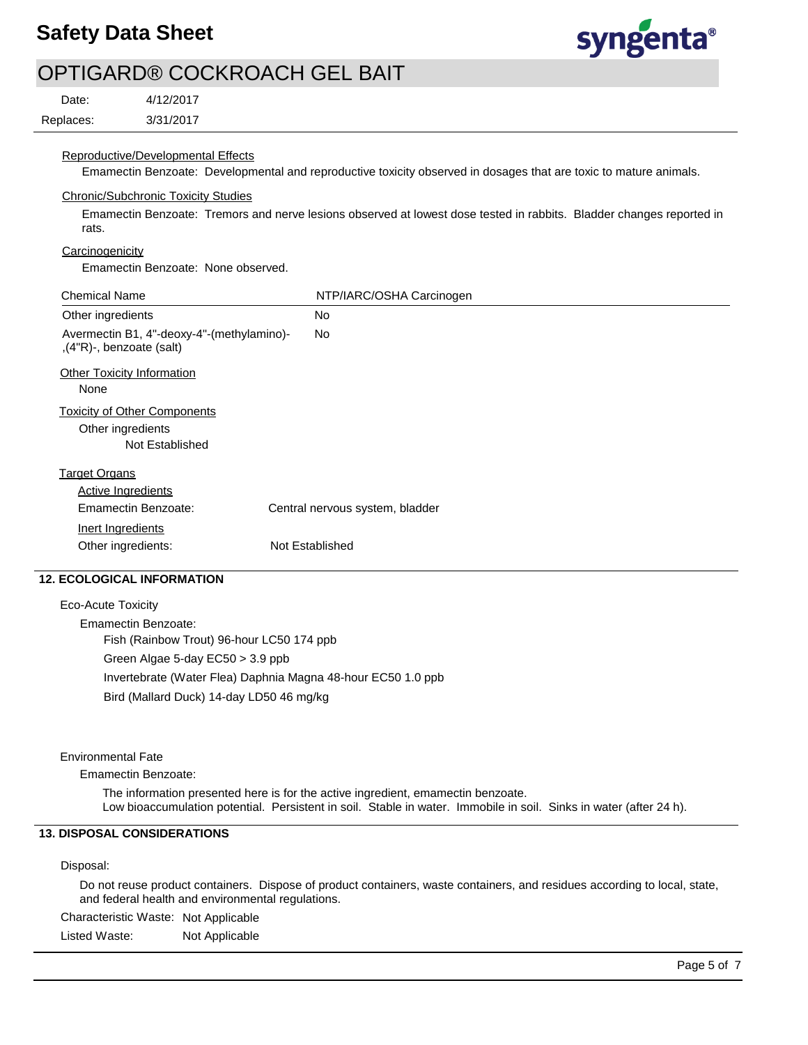

# OPTIGARD® COCKROACH GEL BAIT

Date:

Replaces:

#### Reproductive/Developmental Effects

3/31/2017 4/12/2017

Emamectin Benzoate: Developmental and reproductive toxicity observed in dosages that are toxic to mature animals.

### Chronic/Subchronic Toxicity Studies

Emamectin Benzoate: Tremors and nerve lesions observed at lowest dose tested in rabbits. Bladder changes reported in rats.

### **Carcinogenicity**

Emamectin Benzoate: None observed.

| <b>Chemical Name</b>                                                        | NTP/IARC/OSHA Carcinogen        |
|-----------------------------------------------------------------------------|---------------------------------|
| Other ingredients                                                           | <b>No</b>                       |
| Avermectin B1, 4"-deoxy-4"-(methylamino)-<br>,(4"R)-, benzoate (salt)       | No.                             |
| <b>Other Toxicity Information</b><br>None                                   |                                 |
| <b>Toxicity of Other Components</b><br>Other ingredients<br>Not Established |                                 |
| <b>Target Organs</b>                                                        |                                 |
| Active Ingredients                                                          |                                 |
| Emamectin Benzoate:                                                         | Central nervous system, bladder |
| Inert Ingredients                                                           |                                 |
| Other ingredients:                                                          | Not Established                 |

### **12. ECOLOGICAL INFORMATION**

Eco-Acute Toxicity Emamectin Benzoate: Fish (Rainbow Trout) 96-hour LC50 174 ppb Green Algae 5-day EC50 > 3.9 ppb Invertebrate (Water Flea) Daphnia Magna 48-hour EC50 1.0 ppb Bird (Mallard Duck) 14-day LD50 46 mg/kg

#### Environmental Fate

Emamectin Benzoate:

The information presented here is for the active ingredient, emamectin benzoate. Low bioaccumulation potential. Persistent in soil. Stable in water. Immobile in soil. Sinks in water (after 24 h).

### **13. DISPOSAL CONSIDERATIONS**

#### Disposal:

Do not reuse product containers. Dispose of product containers, waste containers, and residues according to local, state, and federal health and environmental regulations.

Characteristic Waste: Not Applicable

Listed Waste: Not Applicable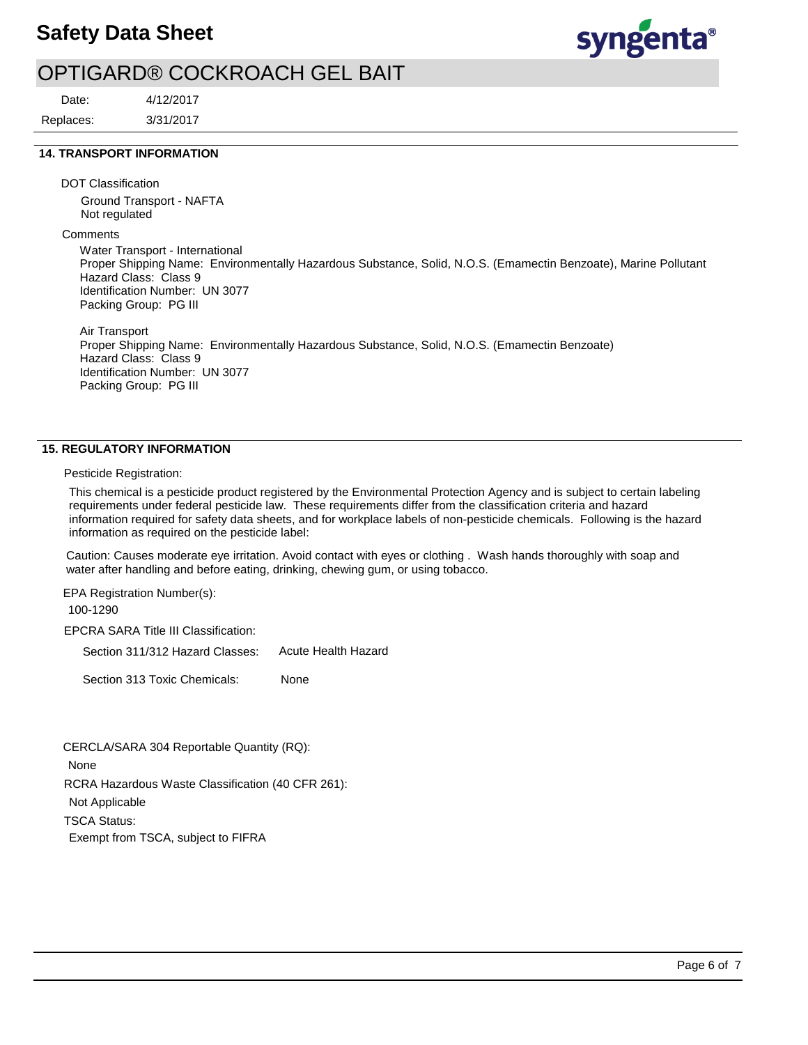

# OPTIGARD® COCKROACH GEL BAIT

Date:

3/31/2017 4/12/2017 Replaces:

### **14. TRANSPORT INFORMATION**

DOT Classification

Ground Transport - NAFTA Not regulated

**Comments** 

Water Transport - International Proper Shipping Name: Environmentally Hazardous Substance, Solid, N.O.S. (Emamectin Benzoate), Marine Pollutant Hazard Class: Class 9 Identification Number: UN 3077 Packing Group: PG III

Air Transport Proper Shipping Name: Environmentally Hazardous Substance, Solid, N.O.S. (Emamectin Benzoate) Hazard Class: Class 9 Identification Number: UN 3077 Packing Group: PG III

#### **15. REGULATORY INFORMATION**

Pesticide Registration:

This chemical is a pesticide product registered by the Environmental Protection Agency and is subject to certain labeling requirements under federal pesticide law. These requirements differ from the classification criteria and hazard information required for safety data sheets, and for workplace labels of non-pesticide chemicals. Following is the hazard information as required on the pesticide label:

Caution: Causes moderate eye irritation. Avoid contact with eyes or clothing . Wash hands thoroughly with soap and water after handling and before eating, drinking, chewing gum, or using tobacco.

EPA Registration Number(s): 100-1290

EPCRA SARA Title III Classification:

Section 311/312 Hazard Classes: Acute Health Hazard

Section 313 Toxic Chemicals: None

RCRA Hazardous Waste Classification (40 CFR 261): Not Applicable TSCA Status: Exempt from TSCA, subject to FIFRA CERCLA/SARA 304 Reportable Quantity (RQ): None